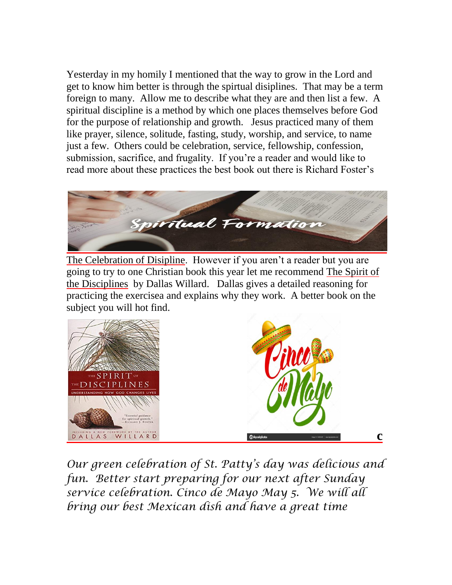Yesterday in my homily I mentioned that the way to grow in the Lord and get to know him better is through the spirtual disiplines. That may be a term foreign to many. Allow me to describe what they are and then list a few. A spiritual discipline is a method by which one places themselves before God for the purpose of relationship and growth. Jesus practiced many of them like prayer, silence, solitude, fasting, study, worship, and service, to name just a few. Others could be celebration, service, fellowship, confession, submission, sacrifice, and frugality. If you're a reader and would like to read more about these practices the best book out there is Richard Foster's



The Celebration of Disipline. However if you aren't a reader but you are going to try to one Christian book this year let me recommend The Spirit of the Disciplines by Dallas Willard. Dallas gives a detailed reasoning for practicing the exercisea and explains why they work. A better book on the subject you will hot find.



*Our green celebration of St. Patty's day was delicious and fun. Better start preparing for our next after Sunday service celebration. Cinco de Mayo May 5. We will all bring our best Mexican dish and have a great time*